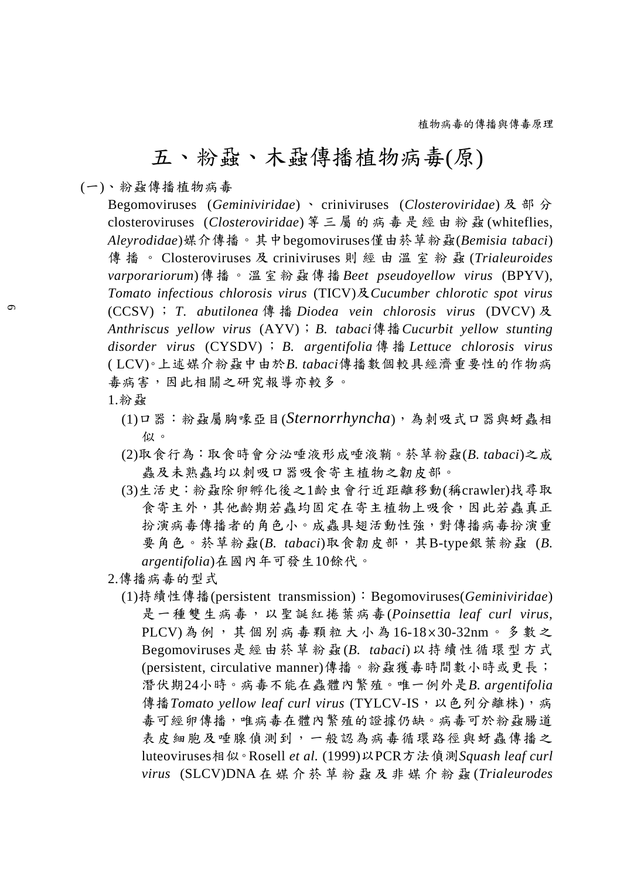## 五、粉蝨、木蝨傳播植物病毒(原)

(一)、粉蝨傳播植物病毒

Begomoviruses (*Geminiviridae*)、 criniviruses (*Closteroviridae*)及部分 closteroviruses (*Closteroviridae*) 等 三 屬 的 病 毒 是 經 由 粉 蝨 (whiteflies, *Aleyrodidae*)媒介傳播。其中begomoviruses僅由菸草粉蝨(*Bemisia tabaci*) 傳播。 Closteroviruses 及 criniviruses 則 經 由 溫 室 粉 蝨 (*Trialeuroides varporariorum*)傳播。溫室粉蝨傳播 *Beet pseudoyellow virus* (BPYV), *Tomato infectious chlorosis virus* (TICV)及*Cucumber chlorotic spot virus*  (CCSV) ; *T*. *abutilonea* 傳 播 *Diodea vein chlorosis virus* (DVCV) 及 *Anthriscus yellow virus* (AYV);*B. tabaci*傳播*Cucurbit yellow stunting disorder virus* (CYSDV) ; *B. argentifolia* 傳 播 *Lettuce chlorosis virus*  ( LCV)。上述媒介粉蝨中由於*B. tabaci*傳播數個較具經濟重要性的作物病 毒病害,因此相關之研究報導亦較多。

- 1.粉蝨
	- (1)口器:粉蝨屬胸喙亞目(*Sternorrhyncha*),為刺吸式口器與蚜蟲相 似。
	- (2)取食行為:取食時會分泌唾液形成唾液鞘。菸草粉蝨(*B. tabaci*)之成 蟲及未熟蟲均以刺吸口器吸食寄主植物之韌皮部。
	- (3)生活史:粉蝨除卵孵化後之1齡虫會行近距離移動(稱crawler)找尋取 食寄主外,其他齡期若蟲均固定在寄主植物上吸食,因此若蟲真正 扮演病毒傳播者的角色小。成蟲具翅活動性強,對傳播病毒扮演重 要角色。菸草粉蝨(*B. tabaci*)取食韌皮部,其B-type銀葉粉蝨 (*B. argentifolia*)在國內年可發生10餘代。
- 2.傳播病毒的型式
	- (1)持續性傳播(persistent transmission):Begomoviruses(*Geminiviridae*) 是一種雙生病毒,以聖誕紅捲葉病毒(*Poinsettia leaf curl virus,*  PLCV)為 例 , 其 個 別 病 毒 顆 粒 大 小 為 16-18 × 30-32nm。多數之 Begomoviruses是經由菸草粉蝨 (*B. tabaci*)以持續性循環型方式 (persistent, circulative manner)傳播。粉蝨獲毒時間數小時或更長; 潛伏期24小時。病毒不能在蟲體內繁殖。唯一例外是*B. argentifolia* 傳播Tomato yellow leaf curl virus (TYLCV-IS, 以色列分離株), 病 毒可經卵傳播,唯病毒在體內繁殖的證據仍缺。病毒可於粉蝨腸道 表皮細胞及唾腺偵測到,一般認為病毒循環路徑與蚜蟲傳播之 luteoviruses相似。Rosell *et al.* (1999)以PCR方法偵測*Squash leaf curl virus* (SLCV)DNA 在 媒 介 菸 草 粉 蝨 及 非 媒 介 粉 蝨 (*Trialeurodes*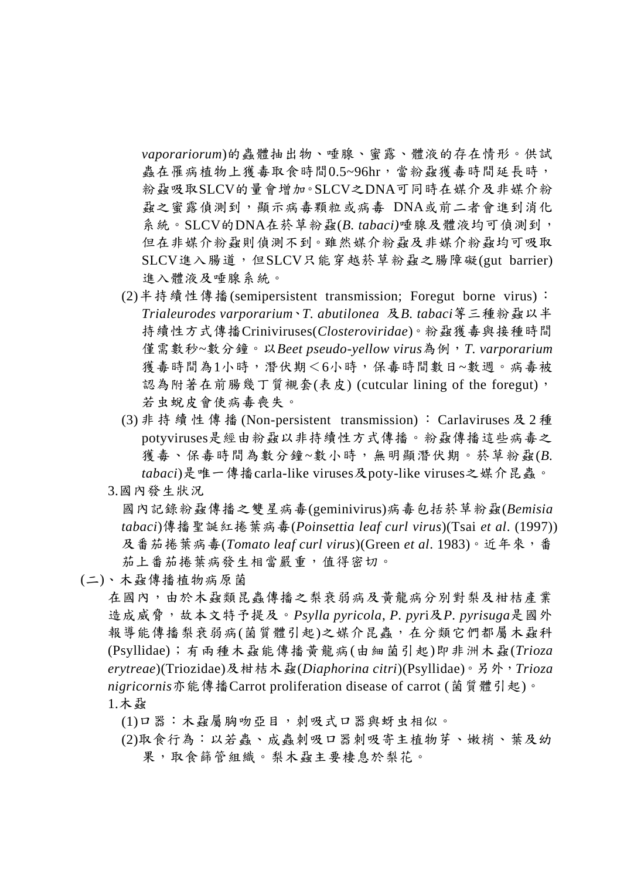*vaporariorum*)的蟲體抽出物、唾腺、蜜露、體液的存在情形。供試 蟲在罹病植物上獲毒取食時間0.5~96hr,當粉蝨獲毒時間延長時, 粉蝨吸取SLCV的量會增加。SLCV之DNA可同時在媒介及非媒介粉 蝨之蜜露偵測到,顯示病毒顆粒或病毒 DNA或前二者會進到消化 系統。SLCV的DNA在菸草粉蝨(*B. tabaci)*唾腺及體液均可偵測到, 但在非媒介粉蝨則偵測不到。雖然媒介粉蝨及非媒介粉蝨均可吸取 SLCV進入腸道,但SLCV只能穿越菸草粉蝨之腸障礙(gut barrier) 進入體液及唾腺系統。

- (2)半持續性傳播(semipersistent transmission; Foregut borne virus): *Trialeurodes varporarium*、*T. abutilonea* 及*B. tabaci*等三種粉蝨以半 持續性方式傳播Criniviruses(*Closteroviridae*)。粉蝨獲毒與接種時間 僅需數秒~數分鐘。以*Beet pseudo-yellow virus*為例,*T. varporarium* 獲毒時間為1小時,潛伏期<6小時,保毒時間數日~數週。病毒被 認為附著在前腸幾丁質襯套(表皮) (cutcular lining of the foregut), 若虫蛻皮會使病毒喪失。
- (3) 非 持 續 性 傳 播 (Non-persistent transmission) : Carlaviruses 及 2 種 potyviruses是經由粉蝨以非持續性方式傳播。粉蝨傳播這些病毒之 獲毒、保毒時間為數分鐘~數小時,無明顯潛伏期。菸草粉蝨(B. *tabaci*)是唯一傳播carla-like viruses及poty-like viruses之媒介昆蟲。
- 3.國內發生狀況

國內記錄粉蝨傳播之雙星病毒(geminivirus)病毒包括菸草粉蝨(*Bemisia tabaci*)傳播聖誕紅捲葉病毒(*Poinsettia leaf curl virus*)(Tsai *et al*. (1997)) 及番茄捲葉病毒(*Tomato leaf curl virus*)(Green *et al*. 1983)。近年來,番 茄上番茄捲葉病發生相當嚴重,值得密切。

## (二)、木蝨傳播植物病原菌

在國內,由於木蝨類昆蟲傳播之梨衰弱病及黃龍病分別對梨及柑桔產業 造成威脅,故本文特予提及。*Psylla pyricola*, *P. pyr*i及*P. pyrisuga*是國外 報導能傳播梨衰弱病(菌質體引起)之媒介昆蟲,在分類它們都屬木蝨科 (Psyllidae);有兩種木蝨能傳播黃龍病(由細菌引起)即非洲木蝨(*Trioza erytreae*)(Triozidae)及柑桔木蝨(*Diaphorina citri*)(Psyllidae)。另外,*Trioza nigricornis*亦能傳播Carrot proliferation disease of carrot (菌質體引起)。 1.木蝨

(1)口器:木蝨屬胸吻亞目,刺吸式口器與蚜虫相似。

(2)取食行為:以若蟲、成蟲刺吸口器刺吸寄主植物芽、嫩梢、葉及幼 果,取食篩管組織。梨木蝨主要棲息於梨花。